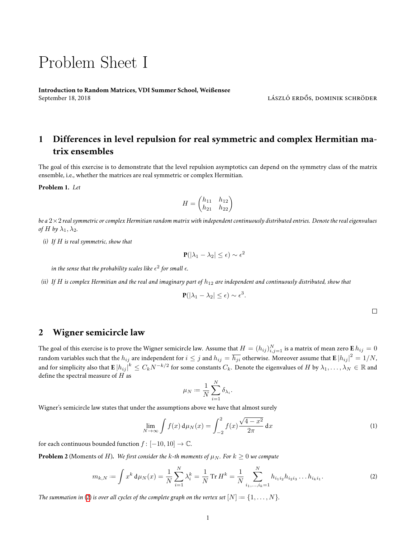## Problem Sheet I

**Introduction to Random Matrices, VDI Summer School, Weißensee** September 18, 2018 **lászló erdős, dominik schröder** képtember 18, 2018 **lászló erdős, dominik schröder** 

## **1 Differences in level repulsion for real symmetric and complex Hermitian matrix ensembles**

The goal of this exercise is to demonstrate that the level repulsion asymptotics can depend on the symmetry class of the matrix ensemble, i.e., whether the matrices are real symmetric or complex Hermitian.

**Problem 1.** *Let*

$$
H = \begin{pmatrix} h_{11} & h_{12} \\ h_{21} & h_{22} \end{pmatrix}
$$

*be a* 2*×*2 *real symmetric or complex Hermitian random matrix with independent continuously distributed entries. Denote the real eigenvalues of*  $H$  *by*  $\lambda_1, \lambda_2$ *.* 

*(i) If H is real symmetric, show that*

$$
\mathbf{P}(|\lambda_1 - \lambda_2| \le \epsilon) \sim \epsilon^2
$$

in the sense that the probability scales like  $\epsilon^2$  for small  $\epsilon$ .

*(ii) If*  $H$  *is complex Hermitian and the real and imaginary part of*  $h_{12}$  *are independent and continuously distributed, show that* 

$$
\mathbf{P}(|\lambda_1 - \lambda_2| \leq \epsilon) \sim \epsilon^3.
$$

 $\Box$ 

## **2 Wigner semicircle law**

The goal of this exercise is to prove the Wigner semicircle law. Assume that  $H=(h_{ij})_{i,j=1}^N$  is a matrix of mean zero  ${\bf E}\,h_{ij}=0$ random variables such that the  $h_{ij}$  are independent for  $i\le j$  and  $h_{ij}=\overline{h_{ji}}$  otherwise. Moreover assume that  ${\bf E}\ket{h_{ij}}^2=1/N$ , and for simplicity also that  ${\bf E}\ket{h_{ij}}^k\leq C_kN^{-k/2}$  for some constants  $C_k.$  Denote the eigenvalues of  $H$  by  $\lambda_1,\ldots,\lambda_N\in\mathbb R$  and define the spectral measure of *H* as

<span id="page-0-2"></span><span id="page-0-0"></span>
$$
\mu_N := \frac{1}{N} \sum_{i=1}^N \delta_{\lambda_i}.
$$

Wigner's semicircle law states that under the assumptions above we have that almost surely

$$
\lim_{N \to \infty} \int f(x) d\mu_N(x) = \int_{-2}^{2} f(x) \frac{\sqrt{4 - x^2}}{2\pi} dx
$$
\n(1)

for each continuous bounded function  $f : [-10, 10] \rightarrow \mathbb{C}$ .

<span id="page-0-1"></span>**Problem 2** (Moments of *H*). *We first consider the k-th moments of*  $\mu_N$ *. For*  $k \geq 0$  *we compute* 

$$
m_{k,N} := \int x^k \, \mathrm{d}\mu_N(x) = \frac{1}{N} \sum_{i=1}^N \lambda_i^k = \frac{1}{N} \operatorname{Tr} H^k = \frac{1}{N} \sum_{i_1, \dots, i_k=1}^N h_{i_1 i_2} h_{i_2 i_3} \dots h_{i_k i_1}.
$$
 (2)

The summation in [\(2](#page-0-0)) is over all cycles of the complete graph on the vertex set  $[N] := \{1, \ldots, N\}$ .